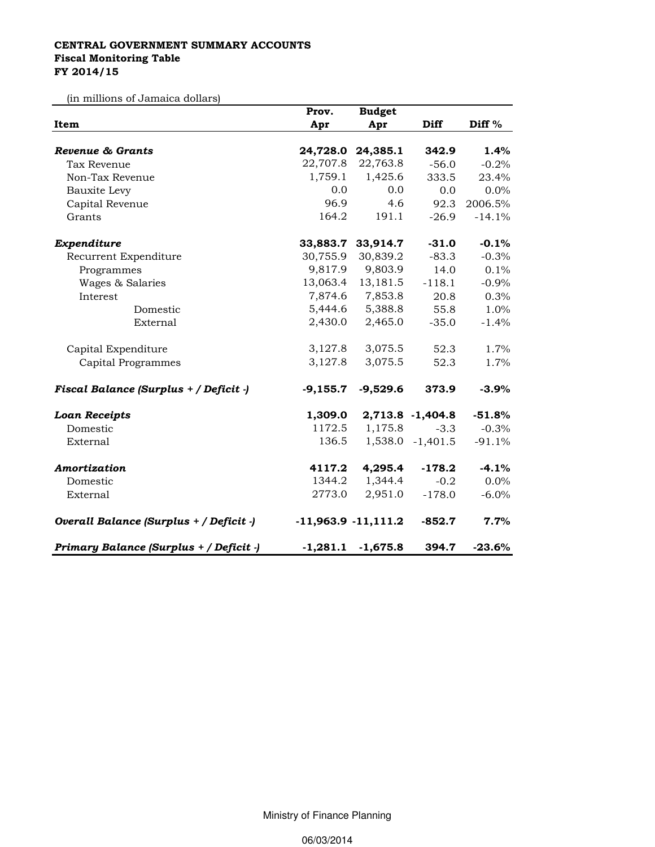## CENTRAL GOVERNMENT SUMMARY ACCOUNTS Fiscal Monitoring Table FY 2014/15

(in millions of Jamaica dollars)

|                                         | Prov.      | <b>Budget</b>         |                  |                   |
|-----------------------------------------|------------|-----------------------|------------------|-------------------|
| Item                                    | Apr        | Apr                   | Diff             | Diff <sup>%</sup> |
|                                         |            |                       |                  |                   |
| Revenue & Grants                        |            | 24,728.0 24,385.1     | 342.9            | 1.4%              |
| Tax Revenue                             | 22,707.8   | 22,763.8              | $-56.0$          | $-0.2%$           |
| Non-Tax Revenue                         | 1,759.1    | 1,425.6               | 333.5            | 23.4%             |
| Bauxite Levy                            | 0.0        | 0.0                   | 0.0              | 0.0%              |
| Capital Revenue                         | 96.9       | 4.6                   | 92.3             | 2006.5%           |
| Grants                                  | 164.2      | 191.1                 | $-26.9$          | $-14.1%$          |
| Expenditure                             | 33,883.7   | 33,914.7              | $-31.0$          | $-0.1%$           |
| Recurrent Expenditure                   | 30,755.9   | 30,839.2              | $-83.3$          | $-0.3%$           |
| Programmes                              | 9,817.9    | 9,803.9               | 14.0             | 0.1%              |
| Wages & Salaries                        | 13,063.4   | 13,181.5              | $-118.1$         | $-0.9%$           |
| Interest                                |            | 7,874.6 7,853.8       | 20.8             | 0.3%              |
| Domestic                                | 5,444.6    | 5,388.8               | 55.8             | 1.0%              |
| External                                | 2,430.0    | 2,465.0               | $-35.0$          | $-1.4%$           |
| Capital Expenditure                     | 3,127.8    | 3,075.5               | 52.3             | 1.7%              |
| Capital Programmes                      | 3,127.8    | 3,075.5               | 52.3             | 1.7%              |
| Fiscal Balance (Surplus + / Deficit -)  | $-9,155.7$ | $-9,529.6$            | 373.9            | $-3.9\%$          |
| <b>Loan Receipts</b>                    | 1,309.0    |                       | 2,713.8 -1,404.8 | $-51.8%$          |
| Domestic                                | 1172.5     | 1,175.8               | $-3.3$           | $-0.3%$           |
| External                                | 136.5      |                       | 1,538.0 -1,401.5 | $-91.1%$          |
| Amortization                            | 4117.2     | 4,295.4               | $-178.2$         | $-4.1%$           |
| Domestic                                | 1344.2     | 1,344.4               | $-0.2$           | 0.0%              |
| External                                | 2773.0     | 2,951.0               | $-178.0$         | $-6.0\%$          |
| Overall Balance (Surplus + / Deficit -) |            | $-11,963.9 -11,111.2$ | $-852.7$         | 7.7%              |
| Primary Balance (Surplus + / Deficit -) | $-1,281.1$ | $-1,675.8$            | 394.7            | $-23.6\%$         |

Ministry of Finance Planning